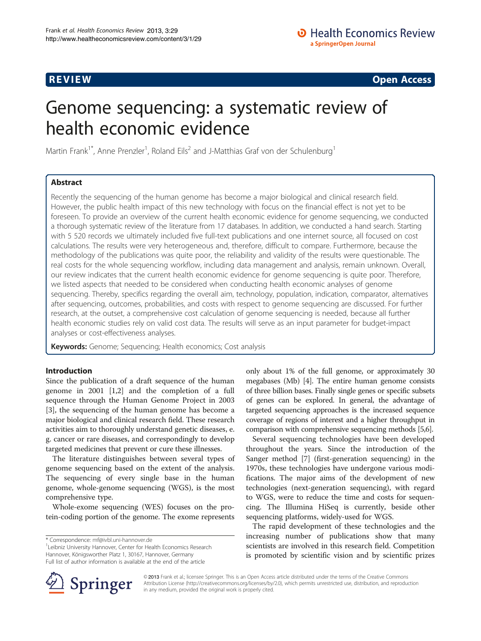**REVIEW CONSTRUCTION CONSTRUCTION CONSTRUCTS** 

# Genome sequencing: a systematic review of health economic evidence

Martin Frank<sup>1\*</sup>, Anne Prenzler<sup>1</sup>, Roland Eils<sup>2</sup> and J-Matthias Graf von der Schulenburg<sup>1</sup>

# Abstract

Recently the sequencing of the human genome has become a major biological and clinical research field. However, the public health impact of this new technology with focus on the financial effect is not yet to be foreseen. To provide an overview of the current health economic evidence for genome sequencing, we conducted a thorough systematic review of the literature from 17 databases. In addition, we conducted a hand search. Starting with 5 520 records we ultimately included five full-text publications and one internet source, all focused on cost calculations. The results were very heterogeneous and, therefore, difficult to compare. Furthermore, because the methodology of the publications was quite poor, the reliability and validity of the results were questionable. The real costs for the whole sequencing workflow, including data management and analysis, remain unknown. Overall, our review indicates that the current health economic evidence for genome sequencing is quite poor. Therefore, we listed aspects that needed to be considered when conducting health economic analyses of genome sequencing. Thereby, specifics regarding the overall aim, technology, population, indication, comparator, alternatives after sequencing, outcomes, probabilities, and costs with respect to genome sequencing are discussed. For further research, at the outset, a comprehensive cost calculation of genome sequencing is needed, because all further health economic studies rely on valid cost data. The results will serve as an input parameter for budget-impact analyses or cost-effectiveness analyses.

Keywords: Genome; Sequencing; Health economics; Cost analysis

# Introduction

Since the publication of a draft sequence of the human genome in 2001 [\[1,2](#page-7-0)] and the completion of a full sequence through the Human Genome Project in 2003 [[3\]](#page-7-0), the sequencing of the human genome has become a major biological and clinical research field. These research activities aim to thoroughly understand genetic diseases, e. g. cancer or rare diseases, and correspondingly to develop targeted medicines that prevent or cure these illnesses.

The literature distinguishes between several types of genome sequencing based on the extent of the analysis. The sequencing of every single base in the human genome, whole-genome sequencing (WGS), is the most comprehensive type.

Whole-exome sequencing (WES) focuses on the protein-coding portion of the genome. The exome represents

\* Correspondence: [mf@ivbl.uni-hannover.de](mailto:mf@ivbl.uni-hannover.de) <sup>1</sup>

<sup>1</sup> Leibniz University Hannover, Center for Health Economics Research Hannover, Königsworther Platz 1, 30167, Hannover, Germany Full list of author information is available at the end of the article

only about 1% of the full genome, or approximately 30 megabases (Mb) [\[4](#page-7-0)]. The entire human genome consists of three billion bases. Finally single genes or specific subsets of genes can be explored. In general, the advantage of targeted sequencing approaches is the increased sequence coverage of regions of interest and a higher throughput in comparison with comprehensive sequencing methods [\[5,6\]](#page-7-0).

Several sequencing technologies have been developed throughout the years. Since the introduction of the Sanger method [\[7](#page-7-0)] (first-generation sequencing) in the 1970s, these technologies have undergone various modifications. The major aims of the development of new technologies (next-generation sequencing), with regard to WGS, were to reduce the time and costs for sequencing. The Illumina HiSeq is currently, beside other sequencing platforms, widely-used for WGS.

The rapid development of these technologies and the increasing number of publications show that many scientists are involved in this research field. Competition is promoted by scientific vision and by scientific prizes



© 2013 Frank et al.; licensee Springer. This is an Open Access article distributed under the terms of the Creative Commons Attribution License [\(http://creativecommons.org/licenses/by/2.0\)](http://creativecommons.org/licenses/by/2.0), which permits unrestricted use, distribution, and reproduction in any medium, provided the original work is properly cited.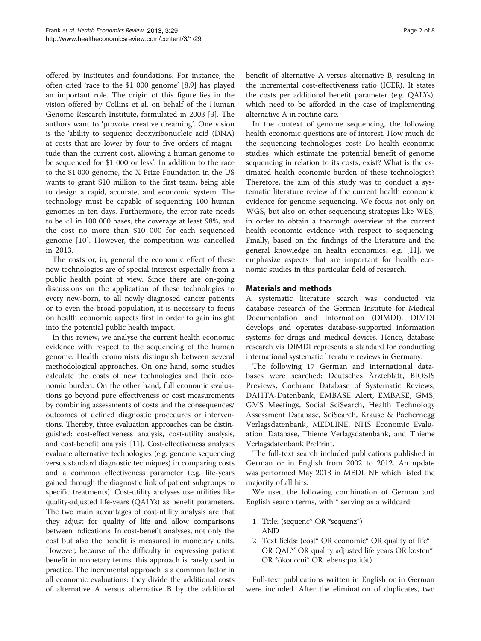offered by institutes and foundations. For instance, the often cited 'race to the \$1 000 genome' [\[8,9](#page-7-0)] has played an important role. The origin of this figure lies in the vision offered by Collins et al. on behalf of the Human Genome Research Institute, formulated in 2003 [[3\]](#page-7-0). The authors want to 'provoke creative dreaming'. One vision is the 'ability to sequence deoxyribonucleic acid (DNA) at costs that are lower by four to five orders of magnitude than the current cost, allowing a human genome to be sequenced for \$1 000 or less'. In addition to the race to the \$1 000 genome, the X Prize Foundation in the US wants to grant \$10 million to the first team, being able to design a rapid, accurate, and economic system. The technology must be capable of sequencing 100 human genomes in ten days. Furthermore, the error rate needs to be <1 in 100 000 bases, the coverage at least 98%, and the cost no more than \$10 000 for each sequenced genome [[10](#page-7-0)]. However, the competition was cancelled in 2013.

The costs or, in, general the economic effect of these new technologies are of special interest especially from a public health point of view. Since there are on-going discussions on the application of these technologies to every new-born, to all newly diagnosed cancer patients or to even the broad population, it is necessary to focus on health economic aspects first in order to gain insight into the potential public health impact.

In this review, we analyse the current health economic evidence with respect to the sequencing of the human genome. Health economists distinguish between several methodological approaches. On one hand, some studies calculate the costs of new technologies and their economic burden. On the other hand, full economic evaluations go beyond pure effectiveness or cost measurements by combining assessments of costs and the consequences/ outcomes of defined diagnostic procedures or interventions. Thereby, three evaluation approaches can be distinguished: cost-effectiveness analysis, cost-utility analysis, and cost-benefit analysis [[11](#page-7-0)]. Cost-effectiveness analyses evaluate alternative technologies (e.g. genome sequencing versus standard diagnostic techniques) in comparing costs and a common effectiveness parameter (e.g. life-years gained through the diagnostic link of patient subgroups to specific treatments). Cost-utility analyses use utilities like quality-adjusted life-years (QALYs) as benefit parameters. The two main advantages of cost-utility analysis are that they adjust for quality of life and allow comparisons between indications. In cost-benefit analyses, not only the cost but also the benefit is measured in monetary units. However, because of the difficulty in expressing patient benefit in monetary terms, this approach is rarely used in practice. The incremental approach is a common factor in all economic evaluations: they divide the additional costs of alternative A versus alternative B by the additional benefit of alternative A versus alternative B, resulting in the incremental cost-effectiveness ratio (ICER). It states the costs per additional benefit parameter (e.g. QALYs), which need to be afforded in the case of implementing alternative A in routine care.

In the context of genome sequencing, the following health economic questions are of interest. How much do the sequencing technologies cost? Do health economic studies, which estimate the potential benefit of genome sequencing in relation to its costs, exist? What is the estimated health economic burden of these technologies? Therefore, the aim of this study was to conduct a systematic literature review of the current health economic evidence for genome sequencing. We focus not only on WGS, but also on other sequencing strategies like WES, in order to obtain a thorough overview of the current health economic evidence with respect to sequencing. Finally, based on the findings of the literature and the general knowledge on health economics, e.g. [[11\]](#page-7-0), we emphasize aspects that are important for health economic studies in this particular field of research.

#### Materials and methods

A systematic literature search was conducted via database research of the German Institute for Medical Documentation and Information (DIMDI). DIMDI develops and operates database-supported information systems for drugs and medical devices. Hence, database research via DIMDI represents a standard for conducting international systematic literature reviews in Germany.

The following 17 German and international databases were searched: Deutsches Ärzteblatt, BIOSIS Previews, Cochrane Database of Systematic Reviews, DAHTA-Datenbank, EMBASE Alert, EMBASE, GMS, GMS Meetings, Social SciSearch, Health Technology Assessment Database, SciSearch, Krause & Pachernegg Verlagsdatenbank, MEDLINE, NHS Economic Evaluation Database, Thieme Verlagsdatenbank, and Thieme Verlagsdatenbank PrePrint.

The full-text search included publications published in German or in English from 2002 to 2012. An update was performed May 2013 in MEDLINE which listed the majority of all hits.

We used the following combination of German and English search terms, with \* serving as a wildcard:

- 1 Title: (sequenc\* OR \*sequenz\*) AND
- 2 Text fields: (cost\* OR economic\* OR quality of life\* OR QALY OR quality adjusted life years OR kosten\* OR \*ökonomi\* OR lebensqualität)

Full-text publications written in English or in German were included. After the elimination of duplicates, two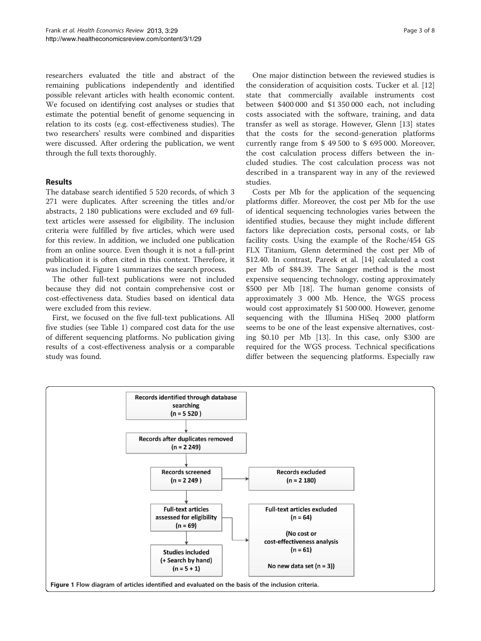researchers evaluated the title and abstract of the remaining publications independently and identified possible relevant articles with health economic content. We focused on identifying cost analyses or studies that estimate the potential benefit of genome sequencing in relation to its costs (e.g. cost-effectiveness studies). The two researchers' results were combined and disparities were discussed. After ordering the publication, we went through the full texts thoroughly.

# Results

The database search identified 5 520 records, of which 3 271 were duplicates. After screening the titles and/or abstracts, 2 180 publications were excluded and 69 fulltext articles were assessed for eligibility. The inclusion criteria were fulfilled by five articles, which were used for this review. In addition, we included one publication from an online source. Even though it is not a full-print publication it is often cited in this context. Therefore, it was included. Figure 1 summarizes the search process.

The other full-text publications were not included because they did not contain comprehensive cost or cost-effectiveness data. Studies based on identical data were excluded from this review.

First, we focused on the five full-text publications. All five studies (see Table [1\)](#page-3-0) compared cost data for the use of different sequencing platforms. No publication giving results of a cost-effectiveness analysis or a comparable study was found.

One major distinction between the reviewed studies is the consideration of acquisition costs. Tucker et al. [[12](#page-7-0)] state that commercially available instruments cost between \$400 000 and \$1 350 000 each, not including costs associated with the software, training, and data transfer as well as storage. However, Glenn [\[13](#page-7-0)] states that the costs for the second-generation platforms currently range from \$ 49 500 to \$ 695 000. Moreover, the cost calculation process differs between the included studies. The cost calculation process was not described in a transparent way in any of the reviewed studies.

Costs per Mb for the application of the sequencing platforms differ. Moreover, the cost per Mb for the use of identical sequencing technologies varies between the identified studies, because they might include different factors like depreciation costs, personal costs, or lab facility costs. Using the example of the Roche/454 GS FLX Titanium, Glenn determined the cost per Mb of \$12.40. In contrast, Pareek et al. [[14\]](#page-7-0) calculated a cost per Mb of \$84.39. The Sanger method is the most expensive sequencing technology, costing approximately \$500 per Mb [\[18](#page-7-0)]. The human genome consists of approximately 3 000 Mb. Hence, the WGS process would cost approximately \$1 500 000. However, genome sequencing with the Illumina HiSeq 2000 platform seems to be one of the least expensive alternatives, costing \$0.10 per Mb [\[13](#page-7-0)]. In this case, only \$300 are required for the WGS process. Technical specifications differ between the sequencing platforms. Especially raw

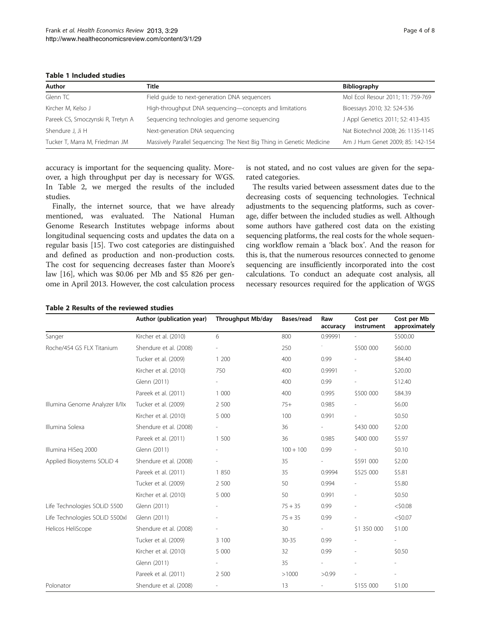<span id="page-3-0"></span>Table 1 Included studies

| Author                            | Title                                                                 | <b>Bibliography</b>                |  |  |
|-----------------------------------|-----------------------------------------------------------------------|------------------------------------|--|--|
| Glenn TC                          | Field guide to next-generation DNA sequencers                         | Mol Ecol Resour 2011; 11: 759-769  |  |  |
| Kircher M, Kelso J                | High-throughput DNA sequencing-concepts and limitations               | Bioessays 2010; 32: 524-536        |  |  |
| Pareek CS, Smoczynski R, Tretyn A | Sequencing technologies and genome sequencing                         | J Appl Genetics 2011; 52: 413-435  |  |  |
| Shendure J, Ji H                  | Next-generation DNA sequencing                                        | Nat Biotechnol 2008; 26: 1135-1145 |  |  |
| Tucker T, Marra M, Friedman JM    | Massively Parallel Sequencing: The Next Big Thing in Genetic Medicine | Am J Hum Genet 2009; 85: 142-154   |  |  |

accuracy is important for the sequencing quality. Moreover, a high throughput per day is necessary for WGS. In Table 2, we merged the results of the included studies.

Finally, the internet source, that we have already mentioned, was evaluated. The National Human Genome Research Institutes webpage informs about longitudinal sequencing costs and updates the data on a regular basis [\[15](#page-7-0)]. Two cost categories are distinguished and defined as production and non-production costs. The cost for sequencing decreases faster than Moore's law [\[16](#page-7-0)], which was \$0.06 per Mb and \$5 826 per genome in April 2013. However, the cost calculation process

is not stated, and no cost values are given for the separated categories.

The results varied between assessment dates due to the decreasing costs of sequencing technologies. Technical adjustments to the sequencing platforms, such as coverage, differ between the included studies as well. Although some authors have gathered cost data on the existing sequencing platforms, the real costs for the whole sequencing workflow remain a 'black box'. And the reason for this is, that the numerous resources connected to genome sequencing are insufficiently incorporated into the cost calculations. To conduct an adequate cost analysis, all necessary resources required for the application of WGS

|  |  | Table 2 Results of the reviewed studies |  |
|--|--|-----------------------------------------|--|
|  |  |                                         |  |

|                                 | Author (publication year) | <b>Throughput Mb/day</b> | Bases/read  | Raw<br>accuracy          | Cost per<br>instrument | Cost per Mb<br>approximately |
|---------------------------------|---------------------------|--------------------------|-------------|--------------------------|------------------------|------------------------------|
| Sanger                          | Kircher et al. (2010)     | 6                        | 800         | 0.99991                  |                        | \$500.00                     |
| Roche/454 GS FLX Titanium       | Shendure et al. (2008)    |                          | 250         |                          | \$500 000              | \$60.00                      |
|                                 | Tucker et al. (2009)      | 1 200                    | 400         | 0.99                     |                        | \$84.40                      |
|                                 | Kircher et al. (2010)     | 750                      | 400         | 0.9991                   |                        | \$20.00                      |
|                                 | Glenn (2011)              | $\overline{\phantom{0}}$ | 400         | 0.99                     |                        | \$12.40                      |
|                                 | Pareek et al. (2011)      | 1 000                    | 400         | 0.995                    | \$500 000              | \$84.39                      |
| Illumina Genome Analyzer II/IIx | Tucker et al. (2009)      | 2 500                    | $75+$       | 0.985                    |                        | \$6.00                       |
|                                 | Kircher et al. (2010)     | 5 000                    | 100         | 0.991                    |                        | \$0.50                       |
| Illumina Solexa                 | Shendure et al. (2008)    | $\overline{\phantom{a}}$ | 36          | $\overline{\phantom{a}}$ | \$430 000              | \$2.00                       |
|                                 | Pareek et al. (2011)      | 1 500                    | 36          | 0.985                    | \$400 000              | \$5.97                       |
| Illumina HiSeg 2000             | Glenn (2011)              | $\overline{a}$           | $100 + 100$ | 0.99                     |                        | \$0.10                       |
| Applied Biosystems SOLiD 4      | Shendure et al. (2008)    |                          | 35          | $\overline{\phantom{a}}$ | \$591 000              | \$2.00                       |
|                                 | Pareek et al. (2011)      | 1 850                    | 35          | 0.9994                   | \$525 000              | \$5.81                       |
|                                 | Tucker et al. (2009)      | 2 500                    | 50          | 0.994                    |                        | \$5.80                       |
|                                 | Kircher et al. (2010)     | 5 000                    | 50          | 0.991                    |                        | \$0.50                       |
| Life Technologies SOLiD 5500    | Glenn (2011)              |                          | $75 + 35$   | 0.99                     |                        | $<$ \$0.08                   |
| Life Technologies SOLiD 5500xl  | Glenn (2011)              | L.                       | $75 + 35$   | 0.99                     |                        | $<$ \$0.07                   |
| Helicos HeliScope               | Shendure et al. (2008)    | $\overline{a}$           | 30          | $\overline{\phantom{a}}$ | \$1 350 000            | \$1.00                       |
|                                 | Tucker et al. (2009)      | 3 100                    | $30 - 35$   | 0.99                     |                        |                              |
|                                 | Kircher et al. (2010)     | 5 000                    | 32          | 0.99                     |                        | \$0.50                       |
|                                 | Glenn (2011)              | $\overline{\phantom{0}}$ | 35          |                          |                        |                              |
|                                 | Pareek et al. (2011)      | 2 500                    | >1000       | >0.99                    |                        |                              |
| Polonator                       | Shendure et al. (2008)    | $\overline{\phantom{a}}$ | 13          | $\overline{\phantom{a}}$ | \$155 000              | \$1.00                       |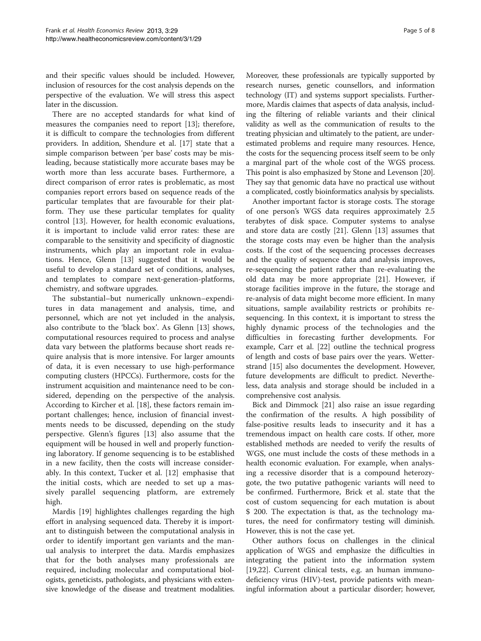and their specific values should be included. However, inclusion of resources for the cost analysis depends on the perspective of the evaluation. We will stress this aspect later in the discussion.

There are no accepted standards for what kind of measures the companies need to report [\[13\]](#page-7-0); therefore, it is difficult to compare the technologies from different providers. In addition, Shendure et al. [\[17](#page-7-0)] state that a simple comparison between 'per base' costs may be misleading, because statistically more accurate bases may be worth more than less accurate bases. Furthermore, a direct comparison of error rates is problematic, as most companies report errors based on sequence reads of the particular templates that are favourable for their platform. They use these particular templates for quality control [\[13](#page-7-0)]. However, for health economic evaluations, it is important to include valid error rates: these are comparable to the sensitivity and specificity of diagnostic instruments, which play an important role in evaluations. Hence, Glenn [[13\]](#page-7-0) suggested that it would be useful to develop a standard set of conditions, analyses, and templates to compare next-generation-platforms, chemistry, and software upgrades.

The substantial–but numerically unknown–expenditures in data management and analysis, time, and personnel, which are not yet included in the analysis, also contribute to the 'black box'. As Glenn [[13\]](#page-7-0) shows, computational resources required to process and analyse data vary between the platforms because short reads require analysis that is more intensive. For larger amounts of data, it is even necessary to use high-performance computing clusters (HPCCs). Furthermore, costs for the instrument acquisition and maintenance need to be considered, depending on the perspective of the analysis. According to Kircher et al. [\[18](#page-7-0)], these factors remain important challenges; hence, inclusion of financial investments needs to be discussed, depending on the study perspective. Glenn's figures [\[13](#page-7-0)] also assume that the equipment will be housed in well and properly functioning laboratory. If genome sequencing is to be established in a new facility, then the costs will increase considerably. In this context, Tucker et al. [[12](#page-7-0)] emphasise that the initial costs, which are needed to set up a massively parallel sequencing platform, are extremely high.

Mardis [[19\]](#page-7-0) highlightes challenges regarding the high effort in analysing sequenced data. Thereby it is important to distinguish between the computational analysis in order to identify important gen variants and the manual analysis to interpret the data. Mardis emphasizes that for the both analyses many professionals are required, including molecular and computational biologists, geneticists, pathologists, and physicians with extensive knowledge of the disease and treatment modalities. Moreover, these professionals are typically supported by research nurses, genetic counsellors, and information technology (IT) and systems support specialists. Furthermore, Mardis claimes that aspects of data analysis, including the filtering of reliable variants and their clinical validity as well as the communication of results to the treating physician and ultimately to the patient, are underestimated problems and require many resources. Hence, the costs for the sequencing process itself seem to be only a marginal part of the whole cost of the WGS process. This point is also emphasized by Stone and Levenson [[20](#page-7-0)]. They say that genomic data have no practical use without a complicated, costly bioinformatics analysis by specialists.

Another important factor is storage costs. The storage of one person's WGS data requires approximately 2.5 terabytes of disk space. Computer systems to analyse and store data are costly [\[21](#page-7-0)]. Glenn [[13\]](#page-7-0) assumes that the storage costs may even be higher than the analysis costs. If the cost of the sequencing processes decreases and the quality of sequence data and analysis improves, re-sequencing the patient rather than re-evaluating the old data may be more appropriate [\[21](#page-7-0)]. However, if storage facilities improve in the future, the storage and re-analysis of data might become more efficient. In many situations, sample availability restricts or prohibits resequencing. In this context, it is important to stress the highly dynamic process of the technologies and the difficulties in forecasting further developments. For example, Carr et al. [\[22\]](#page-7-0) outline the technical progress of length and costs of base pairs over the years. Wetterstrand [\[15\]](#page-7-0) also documentes the development. However, future developments are difficult to predict. Nevertheless, data analysis and storage should be included in a comprehensive cost analysis.

Bick and Dimmock [[21](#page-7-0)] also raise an issue regarding the confirmation of the results. A high possibility of false-positive results leads to insecurity and it has a tremendous impact on health care costs. If other, more established methods are needed to verify the results of WGS, one must include the costs of these methods in a health economic evaluation. For example, when analysing a recessive disorder that is a compound heterozygote, the two putative pathogenic variants will need to be confirmed. Furthermore, Brick et al. state that the cost of custom sequencing for each mutation is about \$ 200. The expectation is that, as the technology matures, the need for confirmatory testing will diminish. However, this is not the case yet.

Other authors focus on challenges in the clinical application of WGS and emphasize the difficulties in integrating the patient into the information system [[19,22\]](#page-7-0). Current clinical tests, e.g. an human immunodeficiency virus (HIV)-test, provide patients with meaningful information about a particular disorder; however,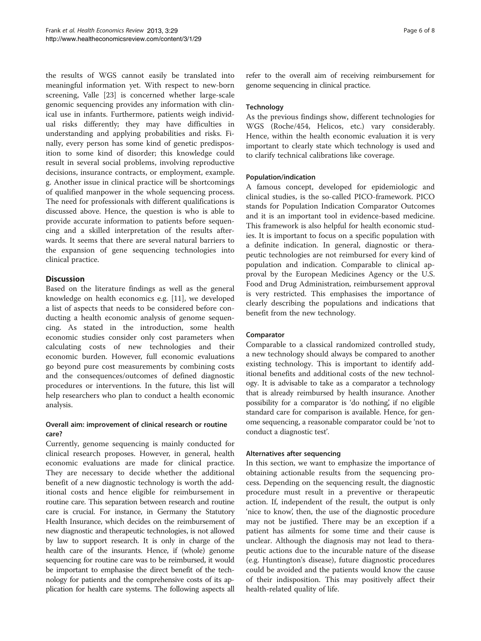the results of WGS cannot easily be translated into meaningful information yet. With respect to new-born screening, Valle [\[23](#page-7-0)] is concerned whether large-scale genomic sequencing provides any information with clinical use in infants. Furthermore, patients weigh individual risks differently; they may have difficulties in understanding and applying probabilities and risks. Finally, every person has some kind of genetic predisposition to some kind of disorder; this knowledge could result in several social problems, involving reproductive decisions, insurance contracts, or employment, example. g. Another issue in clinical practice will be shortcomings of qualified manpower in the whole sequencing process. The need for professionals with different qualifications is discussed above. Hence, the question is who is able to provide accurate information to patients before sequencing and a skilled interpretation of the results afterwards. It seems that there are several natural barriers to the expansion of gene sequencing technologies into clinical practice.

# **Discussion**

Based on the literature findings as well as the general knowledge on health economics e.g. [\[11](#page-7-0)], we developed a list of aspects that needs to be considered before conducting a health economic analysis of genome sequencing. As stated in the introduction, some health economic studies consider only cost parameters when calculating costs of new technologies and their economic burden. However, full economic evaluations go beyond pure cost measurements by combining costs and the consequences/outcomes of defined diagnostic procedures or interventions. In the future, this list will help researchers who plan to conduct a health economic analysis.

# Overall aim: improvement of clinical research or routine care?

Currently, genome sequencing is mainly conducted for clinical research proposes. However, in general, health economic evaluations are made for clinical practice. They are necessary to decide whether the additional benefit of a new diagnostic technology is worth the additional costs and hence eligible for reimbursement in routine care. This separation between research and routine care is crucial. For instance, in Germany the Statutory Health Insurance, which decides on the reimbursement of new diagnostic and therapeutic technologies, is not allowed by law to support research. It is only in charge of the health care of the insurants. Hence, if (whole) genome sequencing for routine care was to be reimbursed, it would be important to emphasise the direct benefit of the technology for patients and the comprehensive costs of its application for health care systems. The following aspects all

refer to the overall aim of receiving reimbursement for genome sequencing in clinical practice.

# **Technology**

As the previous findings show, different technologies for WGS (Roche/454, Helicos, etc.) vary considerably. Hence, within the health economic evaluation it is very important to clearly state which technology is used and to clarify technical calibrations like coverage.

# Population/indication

A famous concept, developed for epidemiologic and clinical studies, is the so-called PICO-framework. PICO stands for Population Indication Comparator Outcomes and it is an important tool in evidence-based medicine. This framework is also helpful for health economic studies. It is important to focus on a specific population with a definite indication. In general, diagnostic or therapeutic technologies are not reimbursed for every kind of population and indication. Comparable to clinical approval by the European Medicines Agency or the U.S. Food and Drug Administration, reimbursement approval is very restricted. This emphasises the importance of clearly describing the populations and indications that benefit from the new technology.

# Comparator

Comparable to a classical randomized controlled study, a new technology should always be compared to another existing technology. This is important to identify additional benefits and additional costs of the new technology. It is advisable to take as a comparator a technology that is already reimbursed by health insurance. Another possibility for a comparator is 'do nothing', if no eligible standard care for comparison is available. Hence, for genome sequencing, a reasonable comparator could be 'not to conduct a diagnostic test'.

# Alternatives after sequencing

In this section, we want to emphasize the importance of obtaining actionable results from the sequencing process. Depending on the sequencing result, the diagnostic procedure must result in a preventive or therapeutic action. If, independent of the result, the output is only 'nice to know', then, the use of the diagnostic procedure may not be justified. There may be an exception if a patient has ailments for some time and their cause is unclear. Although the diagnosis may not lead to therapeutic actions due to the incurable nature of the disease (e.g. Huntington's disease), future diagnostic procedures could be avoided and the patients would know the cause of their indisposition. This may positively affect their health-related quality of life.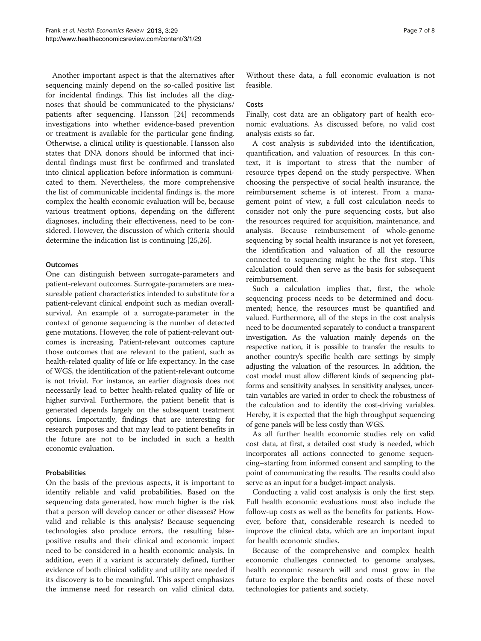Another important aspect is that the alternatives after sequencing mainly depend on the so-called positive list for incidental findings. This list includes all the diagnoses that should be communicated to the physicians/ patients after sequencing. Hansson [\[24](#page-7-0)] recommends investigations into whether evidence-based prevention or treatment is available for the particular gene finding. Otherwise, a clinical utility is questionable. Hansson also states that DNA donors should be informed that incidental findings must first be confirmed and translated into clinical application before information is communicated to them. Nevertheless, the more comprehensive the list of communicable incidental findings is, the more complex the health economic evaluation will be, because various treatment options, depending on the different diagnoses, including their effectiveness, need to be considered. However, the discussion of which criteria should determine the indication list is continuing [\[25,26\]](#page-7-0).

#### **Outcomes**

One can distinguish between surrogate-parameters and patient-relevant outcomes. Surrogate-parameters are measureable patient characteristics intended to substitute for a patient-relevant clinical endpoint such as median overallsurvival. An example of a surrogate-parameter in the context of genome sequencing is the number of detected gene mutations. However, the role of patient-relevant outcomes is increasing. Patient-relevant outcomes capture those outcomes that are relevant to the patient, such as health-related quality of life or life expectancy. In the case of WGS, the identification of the patient-relevant outcome is not trivial. For instance, an earlier diagnosis does not necessarily lead to better health-related quality of life or higher survival. Furthermore, the patient benefit that is generated depends largely on the subsequent treatment options. Importantly, findings that are interesting for research purposes and that may lead to patient benefits in the future are not to be included in such a health economic evaluation.

# Probabilities

On the basis of the previous aspects, it is important to identify reliable and valid probabilities. Based on the sequencing data generated, how much higher is the risk that a person will develop cancer or other diseases? How valid and reliable is this analysis? Because sequencing technologies also produce errors, the resulting falsepositive results and their clinical and economic impact need to be considered in a health economic analysis. In addition, even if a variant is accurately defined, further evidence of both clinical validity and utility are needed if its discovery is to be meaningful. This aspect emphasizes the immense need for research on valid clinical data.

Without these data, a full economic evaluation is not feasible.

#### Costs

Finally, cost data are an obligatory part of health economic evaluations. As discussed before, no valid cost analysis exists so far.

A cost analysis is subdivided into the identification, quantification, and valuation of resources. In this context, it is important to stress that the number of resource types depend on the study perspective. When choosing the perspective of social health insurance, the reimbursement scheme is of interest. From a management point of view, a full cost calculation needs to consider not only the pure sequencing costs, but also the resources required for acquisition, maintenance, and analysis. Because reimbursement of whole-genome sequencing by social health insurance is not yet foreseen, the identification and valuation of all the resource connected to sequencing might be the first step. This calculation could then serve as the basis for subsequent reimbursement.

Such a calculation implies that, first, the whole sequencing process needs to be determined and documented; hence, the resources must be quantified and valued. Furthermore, all of the steps in the cost analysis need to be documented separately to conduct a transparent investigation. As the valuation mainly depends on the respective nation, it is possible to transfer the results to another country's specific health care settings by simply adjusting the valuation of the resources. In addition, the cost model must allow different kinds of sequencing platforms and sensitivity analyses. In sensitivity analyses, uncertain variables are varied in order to check the robustness of the calculation and to identify the cost-driving variables. Hereby, it is expected that the high throughput sequencing of gene panels will be less costly than WGS.

As all further health economic studies rely on valid cost data, at first, a detailed cost study is needed, which incorporates all actions connected to genome sequencing–starting from informed consent and sampling to the point of communicating the results. The results could also serve as an input for a budget-impact analysis.

Conducting a valid cost analysis is only the first step. Full health economic evaluations must also include the follow-up costs as well as the benefits for patients. However, before that, considerable research is needed to improve the clinical data, which are an important input for health economic studies.

Because of the comprehensive and complex health economic challenges connected to genome analyses, health economic research will and must grow in the future to explore the benefits and costs of these novel technologies for patients and society.